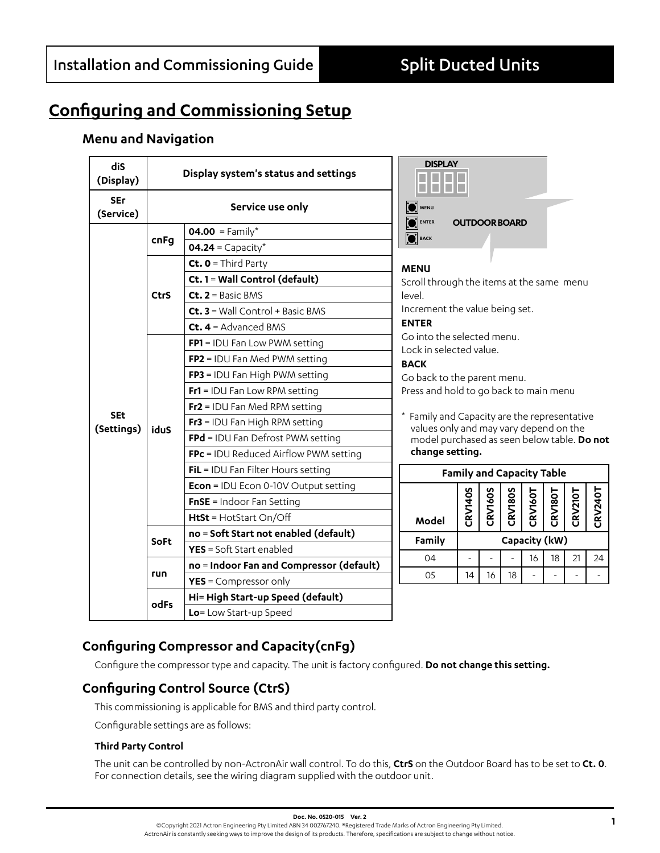# **Configuring and Commissioning Setup**

### **Menu and Navigation**

| dis<br>(Display)         | Display system's status and settings |                                             | <b>DISPLAY</b>                                                                                                                                                                                                                                                                                         |                      |                |                |                |                |                |                |
|--------------------------|--------------------------------------|---------------------------------------------|--------------------------------------------------------------------------------------------------------------------------------------------------------------------------------------------------------------------------------------------------------------------------------------------------------|----------------------|----------------|----------------|----------------|----------------|----------------|----------------|
| <b>SEr</b><br>(Service)  |                                      | Service use only                            |                                                                                                                                                                                                                                                                                                        | <b>OUTDOOR BOARD</b> |                |                |                |                |                |                |
| <b>SEt</b><br>(Settings) | cnFg                                 | 04.00 = Family*                             | <b>ENTER</b><br><b>O</b> BACK                                                                                                                                                                                                                                                                          |                      |                |                |                |                |                |                |
|                          |                                      | $04.24 =$ Capacity*                         |                                                                                                                                                                                                                                                                                                        |                      |                |                |                |                |                |                |
|                          | <b>CtrS</b>                          | Ct. $0 =$ Third Party                       | <b>MENU</b>                                                                                                                                                                                                                                                                                            |                      |                |                |                |                |                |                |
|                          |                                      | Ct. 1 = Wall Control (default)              | Scroll through the items at the same menu<br>level.                                                                                                                                                                                                                                                    |                      |                |                |                |                |                |                |
|                          |                                      | $Ct$ , $2 =$ Basic BMS                      |                                                                                                                                                                                                                                                                                                        |                      |                |                |                |                |                |                |
|                          |                                      | $Ct. 3 =$ Wall Control + Basic BMS          | Increment the value being set.                                                                                                                                                                                                                                                                         |                      |                |                |                |                |                |                |
|                          |                                      | $Ct. 4 =$ Advanced BMS                      | <b>ENTER</b><br>Go into the selected menu.<br>Lock in selected value.<br><b>BACK</b><br>Go back to the parent menu.<br>Press and hold to go back to main menu<br>* Family and Capacity are the representative<br>values only and may vary depend on the<br>model purchased as seen below table. Do not |                      |                |                |                |                |                |                |
|                          | iduS                                 | FP1 = IDU Fan Low PWM setting               |                                                                                                                                                                                                                                                                                                        |                      |                |                |                |                |                |                |
|                          |                                      | FP2 = IDU Fan Med PWM setting               |                                                                                                                                                                                                                                                                                                        |                      |                |                |                |                |                |                |
|                          |                                      | FP3 = IDU Fan High PWM setting              |                                                                                                                                                                                                                                                                                                        |                      |                |                |                |                |                |                |
|                          |                                      | $Fr1 = IDU$ Fan Low RPM setting             |                                                                                                                                                                                                                                                                                                        |                      |                |                |                |                |                |                |
|                          |                                      | $Fr2 = IDU$ Fan Med RPM setting             |                                                                                                                                                                                                                                                                                                        |                      |                |                |                |                |                |                |
|                          |                                      | $Fr3 = IDU$ Fan High RPM setting            |                                                                                                                                                                                                                                                                                                        |                      |                |                |                |                |                |                |
|                          |                                      | FPd = IDU Fan Defrost PWM setting           |                                                                                                                                                                                                                                                                                                        |                      |                |                |                |                |                |                |
|                          |                                      | FPc = IDU Reduced Airflow PWM setting       | change setting.                                                                                                                                                                                                                                                                                        |                      |                |                |                |                |                |                |
|                          |                                      | FiL = IDU Fan Filter Hours setting          | <b>Family and Capacity Table</b>                                                                                                                                                                                                                                                                       |                      |                |                |                |                |                |                |
|                          |                                      | <b>Econ</b> = IDU Econ 0-10V Output setting |                                                                                                                                                                                                                                                                                                        |                      |                |                |                |                |                |                |
|                          |                                      | $FnSE = Indoor Fan Setting$                 |                                                                                                                                                                                                                                                                                                        |                      | <b>CRV160S</b> | <b>CRV180S</b> | <b>CRV160T</b> | <b>CRV180T</b> | <b>CRV210T</b> |                |
|                          |                                      | HtSt = HotStart On/Off                      | Model                                                                                                                                                                                                                                                                                                  | <b>CRV140S</b>       |                |                |                |                |                | <b>CRV240T</b> |
|                          | <b>SoFt</b>                          | no = Soft Start not enabled (default)       | Family                                                                                                                                                                                                                                                                                                 |                      |                |                |                |                |                |                |
|                          |                                      | <b>YES</b> = Soft Start enabled             | Capacity (kW)                                                                                                                                                                                                                                                                                          |                      |                |                |                |                |                |                |
|                          | run                                  | no = Indoor Fan and Compressor (default)    | 04                                                                                                                                                                                                                                                                                                     |                      |                |                | 16             | 18             | 21             | 24             |
|                          |                                      | YES = Compressor only                       | 05                                                                                                                                                                                                                                                                                                     | 14                   | 16             | 18             |                |                |                |                |
|                          | odFs                                 | Hi= High Start-up Speed (default)           |                                                                                                                                                                                                                                                                                                        |                      |                |                |                |                |                |                |
|                          |                                      | Lo= Low Start-up Speed                      |                                                                                                                                                                                                                                                                                                        |                      |                |                |                |                |                |                |

## **Configuring Compressor and Capacity(cnFg)**

Configure the compressor type and capacity. The unit is factory configured. **Do not change this setting.**

## **Configuring Control Source (CtrS)**

This commissioning is applicable for BMS and third party control.

Configurable settings are as follows:

#### **Third Party Control**

The unit can be controlled by non-ActronAir wall control. To do this, **CtrS** on the Outdoor Board has to be set to **Ct. 0**. For connection details, see the wiring diagram supplied with the outdoor unit.